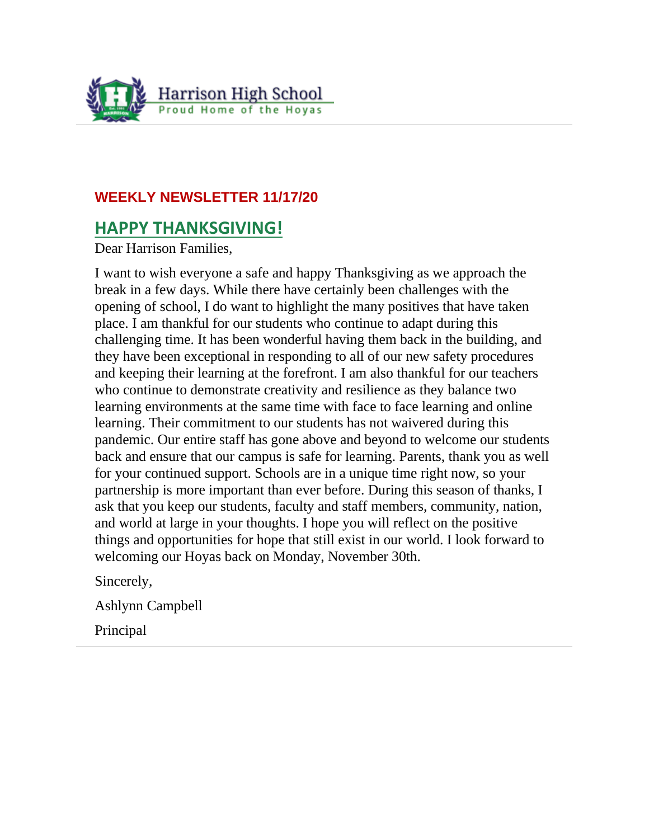

### **WEEKLY NEWSLETTER 11/17/20**

# **HAPPY THANKSGIVING!**

Dear Harrison Families,

I want to wish everyone a safe and happy Thanksgiving as we approach the break in a few days. While there have certainly been challenges with the opening of school, I do want to highlight the many positives that have taken place. I am thankful for our students who continue to adapt during this challenging time. It has been wonderful having them back in the building, and they have been exceptional in responding to all of our new safety procedures and keeping their learning at the forefront. I am also thankful for our teachers who continue to demonstrate creativity and resilience as they balance two learning environments at the same time with face to face learning and online learning. Their commitment to our students has not waivered during this pandemic. Our entire staff has gone above and beyond to welcome our students back and ensure that our campus is safe for learning. Parents, thank you as well for your continued support. Schools are in a unique time right now, so your partnership is more important than ever before. During this season of thanks, I ask that you keep our students, faculty and staff members, community, nation, and world at large in your thoughts. I hope you will reflect on the positive things and opportunities for hope that still exist in our world. I look forward to welcoming our Hoyas back on Monday, November 30th.

Sincerely,

Ashlynn Campbell

Principal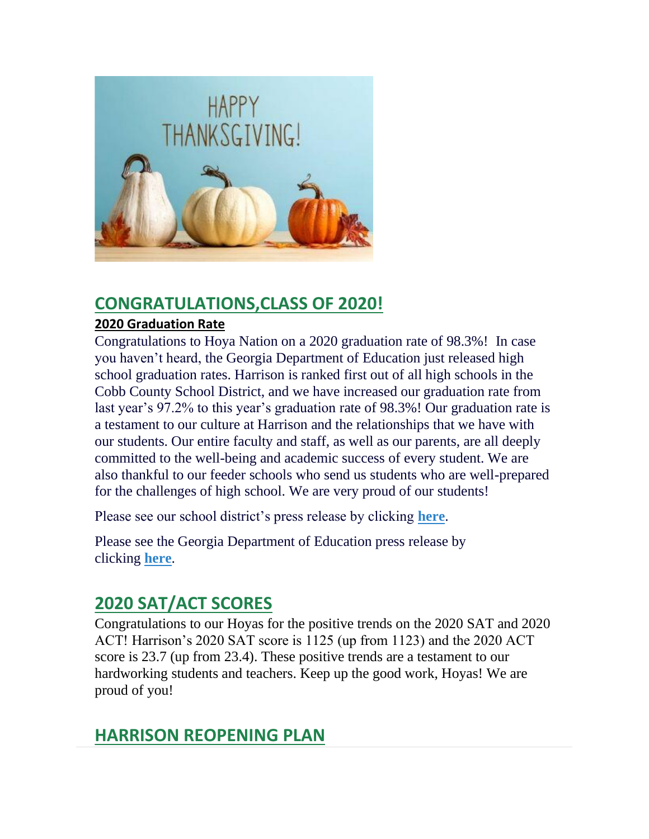

# **CONGRATULATIONS,CLASS OF 2020!**

### **2020 Graduation Rate**

Congratulations to Hoya Nation on a 2020 graduation rate of 98.3%! In case you haven't heard, the Georgia Department of Education just released high school graduation rates. Harrison is ranked first out of all high schools in the Cobb County School District, and we have increased our graduation rate from last year's 97.2% to this year's graduation rate of 98.3%! Our graduation rate is a testament to our culture at Harrison and the relationships that we have with our students. Our entire faculty and staff, as well as our parents, are all deeply committed to the well-being and academic success of every student. We are also thankful to our feeder schools who send us students who are well-prepared for the challenges of high school. We are very proud of our students!

Please see our school district's press release by clicking **[here](https://www.cobbk12.org/_ci/p/35326/cobb-schools-post-record-high-graduation-rate-outshine-state)**.

Please see the Georgia Department of Education press release by clicking **[here](https://www.gadoe.org/External-Affairs-and-Policy/communications/Pages/PressReleaseDetails.aspx?PressView=default&pid=813)**.

# **2020 SAT/ACT SCORES**

Congratulations to our Hoyas for the positive trends on the 2020 SAT and 2020 ACT! Harrison's 2020 SAT score is 1125 (up from 1123) and the 2020 ACT score is 23.7 (up from 23.4). These positive trends are a testament to our hardworking students and teachers. Keep up the good work, Hoyas! We are proud of you!

# **HARRISON REOPENING PLAN**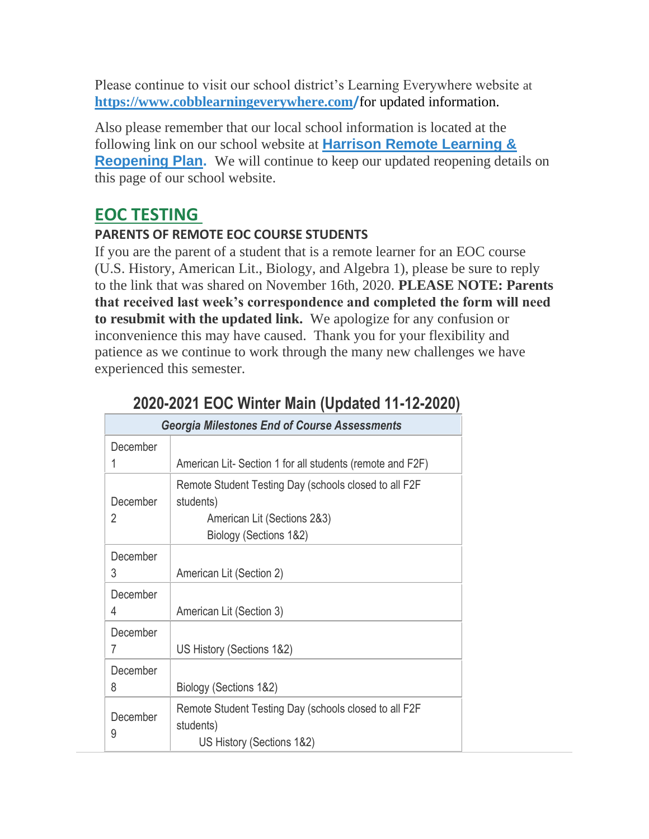Please continue to visit our school district's Learning Everywhere website at **[https://www.cobblearningeverywhere.com](https://www.cobblearningeverywhere.com/)/**for updated information.

Also please remember that our local school information is located at the following link on our school website at **[Harrison Remote Learning &](http://www.harrisonhigh.org/Remote-Learning-Information)  [Reopening Plan.](http://www.harrisonhigh.org/Remote-Learning-Information)** We will continue to keep our updated reopening details on this page of our school website.

# **EOC TESTING**

### **PARENTS OF REMOTE EOC COURSE STUDENTS**

If you are the parent of a student that is a remote learner for an EOC course (U.S. History, American Lit., Biology, and Algebra 1), please be sure to reply to the link that was shared on November 16th, 2020. **PLEASE NOTE: Parents that received last week's correspondence and completed the form will need to resubmit with the updated link.** We apologize for any confusion or inconvenience this may have caused. Thank you for your flexibility and patience as we continue to work through the many new challenges we have experienced this semester.

| <b>Georgia Milestones End of Course Assessments</b> |                                                                                                                             |  |
|-----------------------------------------------------|-----------------------------------------------------------------------------------------------------------------------------|--|
| December<br>1                                       | American Lit-Section 1 for all students (remote and F2F)                                                                    |  |
| December<br>2                                       | Remote Student Testing Day (schools closed to all F2F<br>students)<br>American Lit (Sections 2&3)<br>Biology (Sections 1&2) |  |
| December<br>3                                       | American Lit (Section 2)                                                                                                    |  |
| December<br>4                                       | American Lit (Section 3)                                                                                                    |  |
| December<br>7                                       | US History (Sections 1&2)                                                                                                   |  |
| December<br>8                                       | Biology (Sections 1&2)                                                                                                      |  |
| December<br>9                                       | Remote Student Testing Day (schools closed to all F2F<br>students)<br>US History (Sections 1&2)                             |  |

# **2020-2021 EOC Winter Main (Updated 11-12-2020)**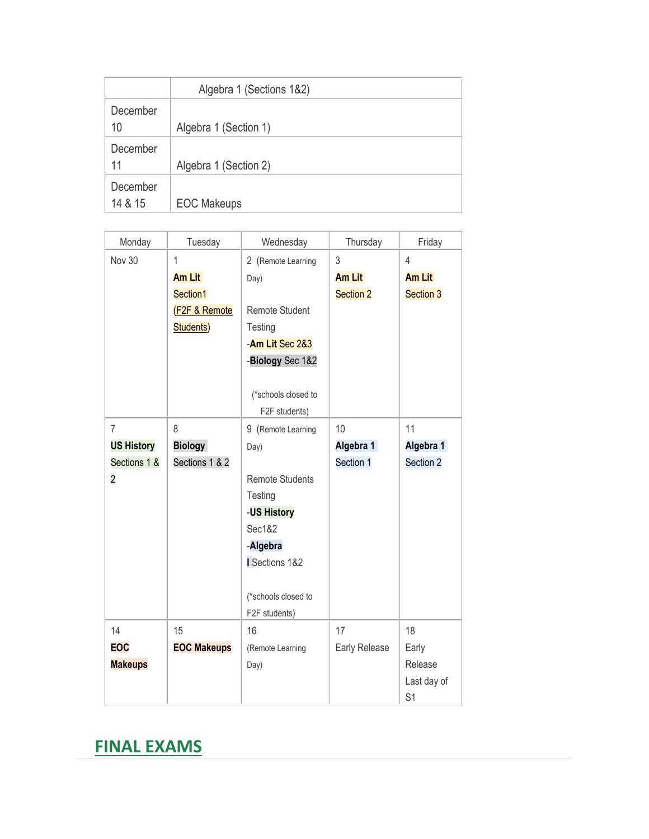|                     | Algebra 1 (Sections 1&2) |
|---------------------|--------------------------|
| December<br>10      | Algebra 1 (Section 1)    |
| December<br>11      | Algebra 1 (Section 2)    |
| December<br>14 & 15 | <b>EOC Makeups</b>       |

| Monday            | Tuesday                  | Wednesday              | Thursday      | Friday           |
|-------------------|--------------------------|------------------------|---------------|------------------|
| <b>Nov 30</b>     | $\mathbf{1}$             | 2 (Remote Learning     | 3             | $\overline{4}$   |
|                   | <b>Am Lit</b>            | Day)                   | <b>Am Lit</b> | <b>Am Lit</b>    |
|                   | Section1                 |                        | Section 2     | <b>Section 3</b> |
|                   | <b>(F2F &amp; Remote</b> | Remote Student         |               |                  |
|                   | Students)                | Testing                |               |                  |
|                   |                          | -Am Lit Sec 2&3        |               |                  |
|                   |                          | -Biology Sec 1&2       |               |                  |
|                   |                          |                        |               |                  |
|                   |                          | (*schools closed to    |               |                  |
|                   |                          | F2F students)          |               |                  |
| $\overline{7}$    | 8                        | 9 (Remote Learning     | 10            | 11               |
| <b>US History</b> | <b>Biology</b>           | Day)                   | Algebra 1     | Algebra 1        |
| Sections 1 &      | Sections 1 & 2           |                        | Section 1     | Section 2        |
| $\overline{c}$    |                          | <b>Remote Students</b> |               |                  |
|                   |                          | Testing                |               |                  |
|                   |                          | -US History            |               |                  |
|                   |                          | Sec1&2                 |               |                  |
|                   |                          | -Algebra               |               |                  |
|                   |                          | Sections 1&2           |               |                  |
|                   |                          |                        |               |                  |
|                   |                          | (*schools closed to    |               |                  |
|                   |                          | F2F students)          |               |                  |
| 14                | 15                       | 16                     | 17            | 18               |
| <b>EOC</b>        | <b>EOC Makeups</b>       | (Remote Learning       | Early Release | Early            |
| <b>Makeups</b>    |                          | Day)                   |               | Release          |
|                   |                          |                        |               | Last day of      |
|                   |                          |                        |               | S <sub>1</sub>   |

# **FINAL EXAMS**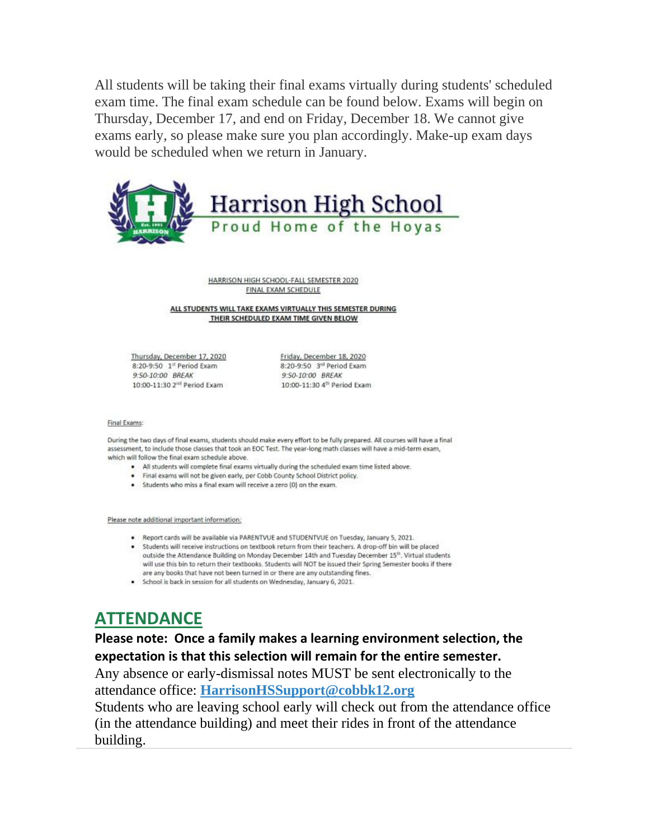All students will be taking their final exams virtually during students' scheduled exam time. The final exam schedule can be found below. Exams will begin on Thursday, December 17, and end on Friday, December 18. We cannot give exams early, so please make sure you plan accordingly. Make-up exam days would be scheduled when we return in January.



HARRISON HIGH SCHOOL-FALL SEMESTER 2020 FINAL EXAM SCHEDULE

ALL STUDENTS WILL TAKE EXAMS VIRTUALLY THIS SEMESTER DURING THEIR SCHEDULED EXAM TIME GIVEN BELOW

Thursday, December 17, 2020 8:20-9:50 1<sup>st</sup> Period Exam 9:50-10:00 BREAK 10:00-11:30 2<sup>nd</sup> Period Exam

Friday, December 18, 2020 8:20-9:50 3<sup>rd</sup> Period Exam 9:50-10:00 BREAK 10:00-11:30 4<sup>th</sup> Period Exam

#### Final Exams:

During the two days of final exams, students should make every effort to be fully prepared. All courses will have a final assessment, to include those classes that took an EOC Test. The year-long math classes will have a mid-term exam, which will follow the final exam schedule above.

- . All students will complete final exams virtually during the scheduled exam time listed above.
- . Final exams will not be given early, per Cobb County School District policy.
- . Students who miss a final exam will receive a zero (0) on the exam.

Please note additional important information:

- . Report cards will be available via PARENTVUE and STUDENTVUE on Tuesday, January 5, 2021.
- . Students will receive instructions on textbook return from their teachers. A drop-off bin will be placed outside the Attendance Building on Monday December 14th and Tuesday December 15<sup>th</sup>. Virtual students will use this bin to return their textbooks. Students will NOT be issued their Spring Semester books if there are any books that have not been turned in or there are any outstanding fines.
- · School is back in session for all students on Wednesday, January 6, 2021.

# **ATTENDANCE**

**Please note: Once a family makes a learning environment selection, the expectation is that this selection will remain for the entire semester.**

Any absence or early-dismissal notes MUST be sent electronically to the attendance office: **[HarrisonHSSupport@cobbk12.org](mailto:HarrisonHSSupport@cobbk12.org)**

Students who are leaving school early will check out from the attendance office (in the attendance building) and meet their rides in front of the attendance building.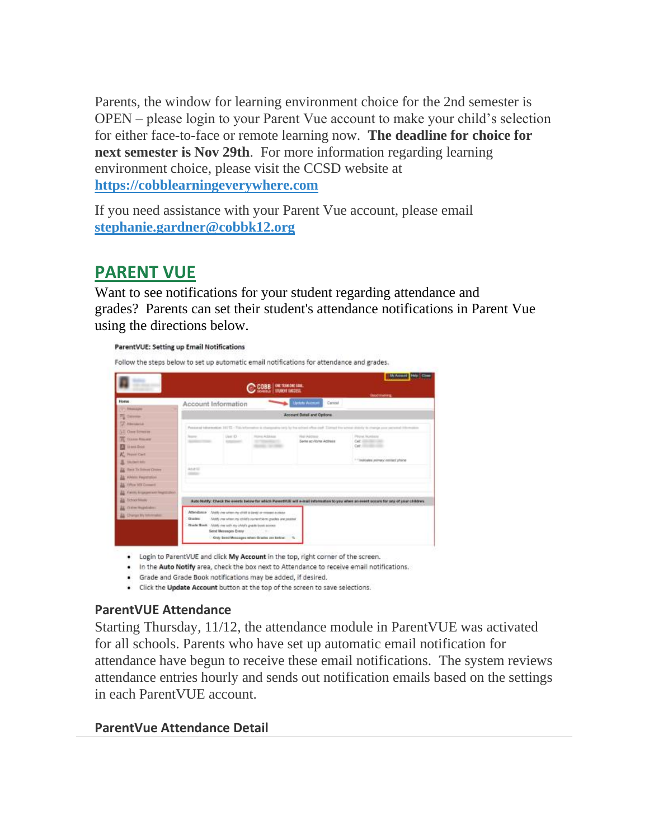Parents, the window for learning environment choice for the 2nd semester is OPEN – please login to your Parent Vue account to make your child's selection for either face-to-face or remote learning now. **The deadline for choice for next semester is Nov 29th**. For more information regarding learning environment choice, please visit the CCSD website at **[https://cobblearningeverywhere.com](https://cobblearningeverywhere.com/)**

If you need assistance with your Parent Vue account, please email **[stephanie.gardner@cobbk12.org](mailto:stephanie.gardner@cobbk12.org)**

# **PARENT VUE**

Want to see notifications for your student regarding attendance and grades? Parents can set their student's attendance notifications in Parent Vue using the directions below.

|                                                                                                                 |                                                                                                                                            |                     | C COBB   ONE TEAR ONE SIME                                                                                               |                                        | <b>My Accessed</b><br><b>ENGINEERS</b>                                                                                                |
|-----------------------------------------------------------------------------------------------------------------|--------------------------------------------------------------------------------------------------------------------------------------------|---------------------|--------------------------------------------------------------------------------------------------------------------------|----------------------------------------|---------------------------------------------------------------------------------------------------------------------------------------|
| Home                                                                                                            | Account Information                                                                                                                        |                     |                                                                                                                          | <b>Update Account</b><br>Carrosi       |                                                                                                                                       |
| <b><i><u>Disease</u></i></b><br><b>Calculate</b><br><b>CASHING</b>                                              |                                                                                                                                            |                     |                                                                                                                          | Account Datali and Options             |                                                                                                                                       |
| 12 Class Econom                                                                                                 | Passage of Intra-Institute: \$9773. This left<br>after to charge allow be the potent office cost. Lamps this school doods to change        |                     |                                                                                                                          |                                        |                                                                                                                                       |
| <b>IT</b> TELEVIS ROLLAND<br><b>Linest Book</b><br>A. Hunt Carl<br><b>SAUGHT MAY</b>                            | <b>Scores</b>                                                                                                                              | 1.6mm (E) -         | <b>Stand Arbitrace</b><br>and the problems of the<br><b>Senator Services</b>                                             | Alai Address<br>Sams or Vityne Address | Pitchel Monthest<br>Call (III) 2021 1993<br>Oct. (Income case)<br>1-1 Indicates politiacy contact phone                               |
| <b>IX</b> Sank To School Citizen<br>A AMAIL Faultitudios<br>Titles MI Consent<br>Farm, Impound and Registration | Ana III                                                                                                                                    |                     |                                                                                                                          |                                        |                                                                                                                                       |
| <b>Tichold Islands</b>                                                                                          |                                                                                                                                            |                     |                                                                                                                          |                                        | Auto Northy: Check the events below for which Parent/US will e-load information to you when an event occurs for any of your children. |
| Thrive Hugsbaker.<br>Charter My Internation                                                                     | Attendance Analyzes when my child is lang or resear a class<br><b>Grantes</b><br>Disade Bown. Alsoly me with my child's grade book account | Sind Messages Every | Abidity your subset your child to current becomi greaters and possible<br>Only Send Messages when Oracles are below. 1/2 |                                        |                                                                                                                                       |

- . Login to ParentVUE and click My Account in the top, right corner of the screen.
- . In the Auto Notify area, check the box next to Attendance to receive email notifications.
- · Grade and Grade Book notifications may be added, if desired.
- . Click the Update Account button at the top of the screen to save selections.

### **ParentVUE Attendance**

Starting Thursday, 11/12, the attendance module in ParentVUE was activated for all schools. Parents who have set up automatic email notification for attendance have begun to receive these email notifications. The system reviews attendance entries hourly and sends out notification emails based on the settings in each ParentVUE account.

#### **ParentVue Attendance Detail**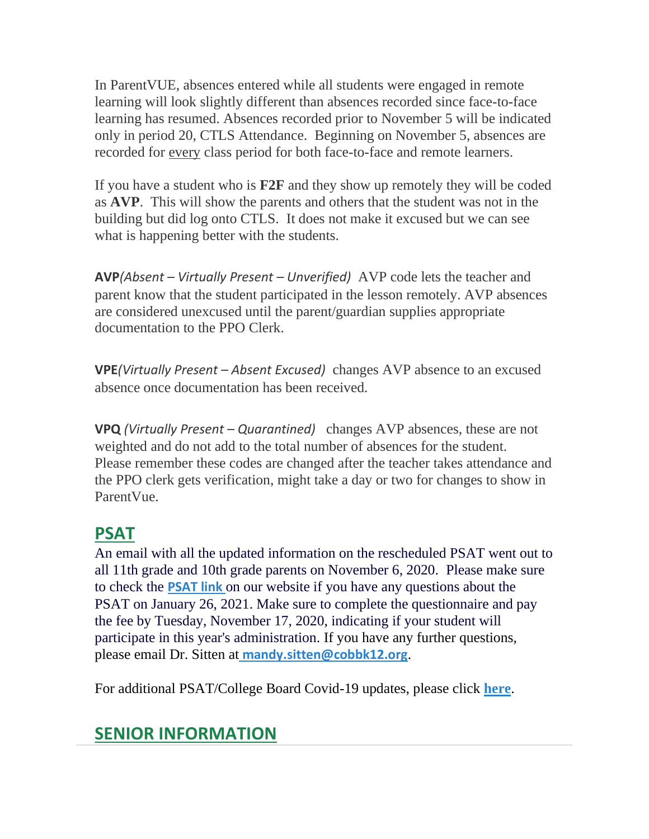In ParentVUE, absences entered while all students were engaged in remote learning will look slightly different than absences recorded since face-to-face learning has resumed. Absences recorded prior to November 5 will be indicated only in period 20, CTLS Attendance. Beginning on November 5, absences are recorded for every class period for both face-to-face and remote learners.

If you have a student who is **F2F** and they show up remotely they will be coded as **AVP**. This will show the parents and others that the student was not in the building but did log onto CTLS. It does not make it excused but we can see what is happening better with the students.

**AVP***(Absent – Virtually Present – Unverified)* AVP code lets the teacher and parent know that the student participated in the lesson remotely. AVP absences are considered unexcused until the parent/guardian supplies appropriate documentation to the PPO Clerk.

**VPE***(Virtually Present – Absent Excused)* changes AVP absence to an excused absence once documentation has been received.

**VPQ** *(Virtually Present – Quarantined)* changes AVP absences, these are not weighted and do not add to the total number of absences for the student. Please remember these codes are changed after the teacher takes attendance and the PPO clerk gets verification, might take a day or two for changes to show in ParentVue.

# **PSAT**

An email with all the updated information on the rescheduled PSAT went out to all 11th grade and 10th grade parents on November 6, 2020. Please make sure to check the **[PSAT link](http://www.harrisonhigh.org/PSAT)** on our website if you have any questions about the PSAT on January 26, 2021. Make sure to complete the questionnaire and pay the fee by Tuesday, November 17, 2020, indicating if your student will participate in this year's administration. If you have any further questions, please email Dr. Sitten at **[mandy.sitten@cobbk12.org](mailto:mandy.sitten@cobbk12.org)**.

For additional PSAT/College Board Covid-19 updates, please click **[here](https://pages.collegeboard.org/sat-covid-19-updates)**.

# **SENIOR INFORMATION**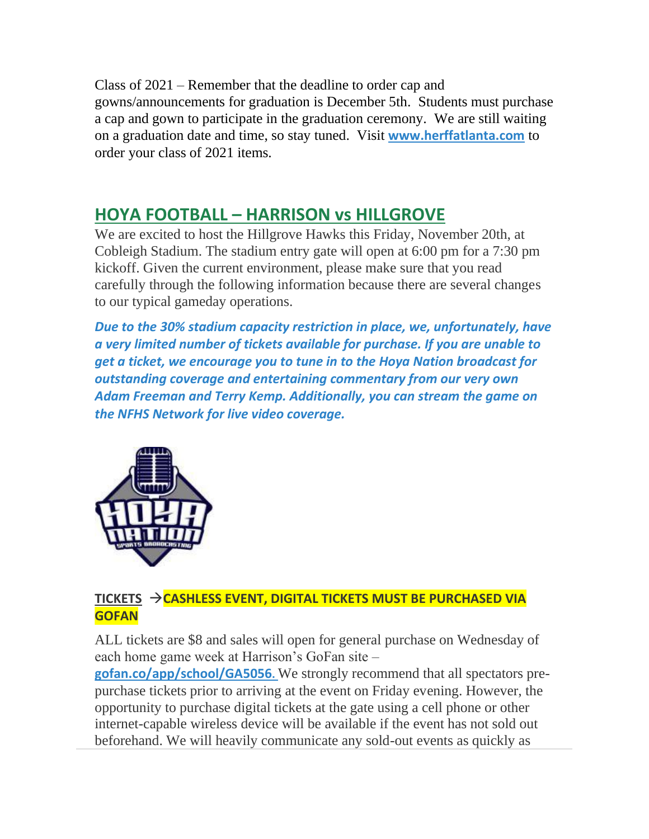Class of 2021 – Remember that the deadline to order cap and gowns/announcements for graduation is December 5th. Students must purchase a cap and gown to participate in the graduation ceremony. We are still waiting on a graduation date and time, so stay tuned. Visit **[www.herffatlanta.com](http://www.herffatlanta.com/)** to order your class of 2021 items.

# **HOYA FOOTBALL – HARRISON vs HILLGROVE**

We are excited to host the Hillgrove Hawks this Friday, November 20th, at Cobleigh Stadium. The stadium entry gate will open at 6:00 pm for a 7:30 pm kickoff. Given the current environment, please make sure that you read carefully through the following information because there are several changes to our typical gameday operations.

*Due to the 30% stadium capacity restriction in place, we, unfortunately, have a very limited number of tickets available for purchase. If you are unable to get a ticket, we encourage you to tune in to the Hoya Nation broadcast for outstanding coverage and entertaining commentary from our very own Adam Freeman and Terry Kemp. Additionally, you can stream the game on the NFHS Network for live video coverage.*



### **TICKETS** →**CASHLESS EVENT, DIGITAL TICKETS MUST BE PURCHASED VIA GOFAN**

ALL tickets are \$8 and sales will open for general purchase on Wednesday of each home game week at Harrison's GoFan site –

**[gofan.co/app/school/GA5056](https://gofan.co/app/school/GA5056).** We strongly recommend that all spectators prepurchase tickets prior to arriving at the event on Friday evening. However, the opportunity to purchase digital tickets at the gate using a cell phone or other internet-capable wireless device will be available if the event has not sold out beforehand. We will heavily communicate any sold-out events as quickly as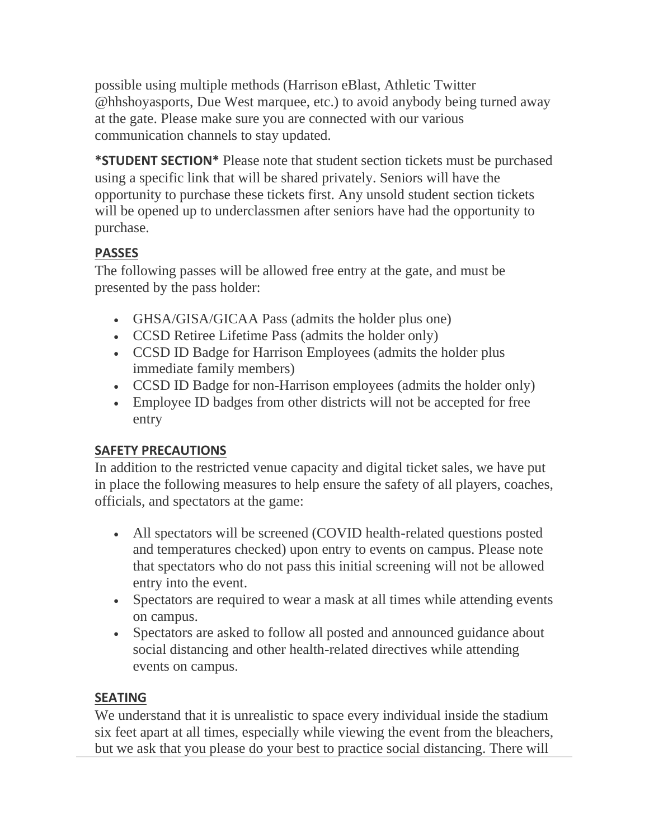possible using multiple methods (Harrison eBlast, Athletic Twitter @hhshoyasports, Due West marquee, etc.) to avoid anybody being turned away at the gate. Please make sure you are connected with our various communication channels to stay updated.

**\*STUDENT SECTION\*** Please note that student section tickets must be purchased using a specific link that will be shared privately. Seniors will have the opportunity to purchase these tickets first. Any unsold student section tickets will be opened up to underclassmen after seniors have had the opportunity to purchase.

### **PASSES**

The following passes will be allowed free entry at the gate, and must be presented by the pass holder:

- GHSA/GISA/GICAA Pass (admits the holder plus one)
- CCSD Retiree Lifetime Pass (admits the holder only)
- CCSD ID Badge for Harrison Employees (admits the holder plus immediate family members)
- CCSD ID Badge for non-Harrison employees (admits the holder only)
- Employee ID badges from other districts will not be accepted for free entry

### **SAFETY PRECAUTIONS**

In addition to the restricted venue capacity and digital ticket sales, we have put in place the following measures to help ensure the safety of all players, coaches, officials, and spectators at the game:

- All spectators will be screened (COVID health-related questions posted and temperatures checked) upon entry to events on campus. Please note that spectators who do not pass this initial screening will not be allowed entry into the event.
- Spectators are required to wear a mask at all times while attending events on campus.
- Spectators are asked to follow all posted and announced guidance about social distancing and other health-related directives while attending events on campus.

### **SEATING**

We understand that it is unrealistic to space every individual inside the stadium six feet apart at all times, especially while viewing the event from the bleachers, but we ask that you please do your best to practice social distancing. There will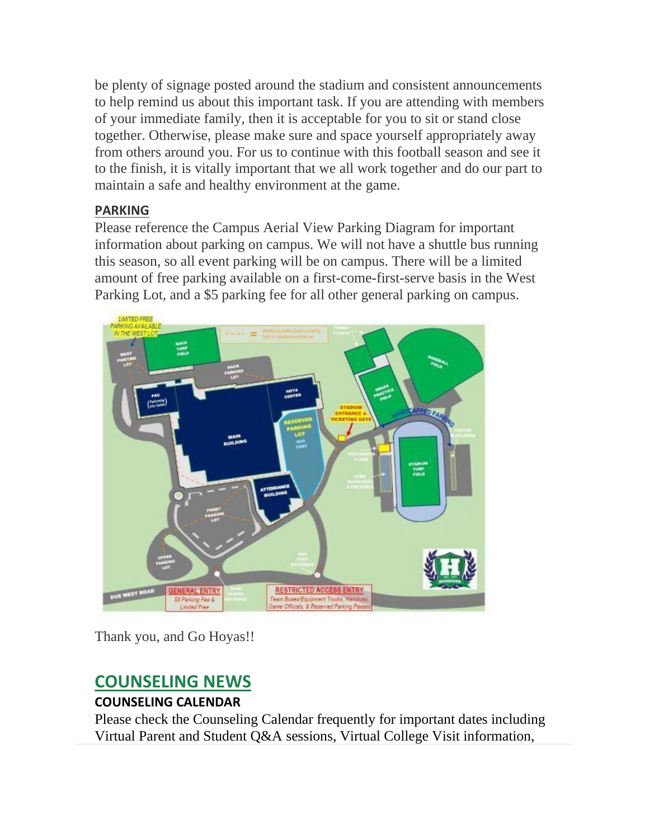be plenty of signage posted around the stadium and consistent announcements to help remind us about this important task. If you are attending with members of your immediate family, then it is acceptable for you to sit or stand close together. Otherwise, please make sure and space yourself appropriately away from others around you. For us to continue with this football season and see it to the finish, it is vitally important that we all work together and do our part to maintain a safe and healthy environment at the game.

### **PARKING**

Please reference the Campus Aerial View Parking Diagram for important information about parking on campus. We will not have a shuttle bus running this season, so all event parking will be on campus. There will be a limited amount of free parking available on a first-come-first-serve basis in the West Parking Lot, and a \$5 parking fee for all other general parking on campus.



Thank you, and Go Hoyas!!

# **COUNSELING NEWS**

### **COUNSELING CALENDAR**

Please check the Counseling Calendar frequently for important dates including Virtual Parent and Student Q&A sessions, Virtual College Visit information,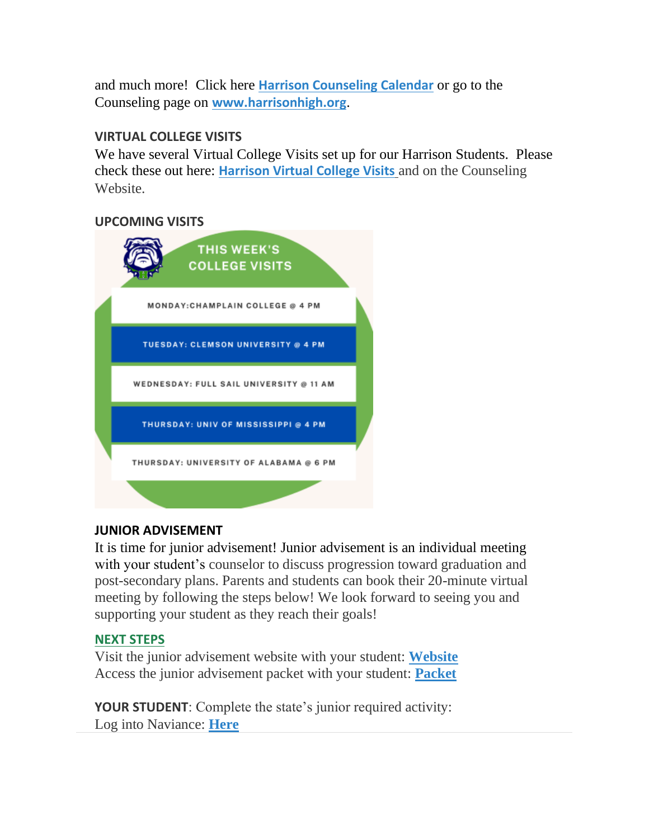and much more! Click here **[Harrison Counseling Calendar](https://calendar.google.com/calendar/embed?src=tasr4q5spailsj1itftjdtn6mk%40group.calendar.google.com&ctz=America%2FNew_York)** or go to the Counseling page on **[www.harrisonhigh.org](http://www.harrisonhigh.org/)**.

### **VIRTUAL COLLEGE VISITS**

We have several Virtual College Visits set up for our Harrison Students. Please check these out here: **[Harrison Virtual College Visits](https://cobbk12org-my.sharepoint.com/:x:/g/personal/leanna_kor_cobbk12_org/EWP6BGgLdCBOvhv5RDRuCVwBqHA2jXXmnAUqr7hXgxEU7w?rtime=t-E10MJN2Eg)** and on the Counseling Website.

### **UPCOMING VISITS**



### **JUNIOR ADVISEMENT**

It is time for junior advisement! Junior advisement is an individual meeting with your student's counselor to discuss progression toward graduation and post-secondary plans. Parents and students can book their 20-minute virtual meeting by following the steps below! We look forward to seeing you and supporting your student as they reach their goals!

### **NEXT STEPS**

Visit the junior advisement website with your student: **[Website](https://hoptroff.weebly.com/)** Access the junior advisement packet with your student: **[Packet](https://drive.google.com/file/d/10VQWeMGfsCP6IM1dYkymUfRNzOnJDiHD/view)**

**YOUR STUDENT:** Complete the state's junior required activity: Log into Naviance: **[Here](https://tb2cdn.schoolwebmasters.com/accnt_42975/site_42976/Documents/All-About-Naviance.pdf)**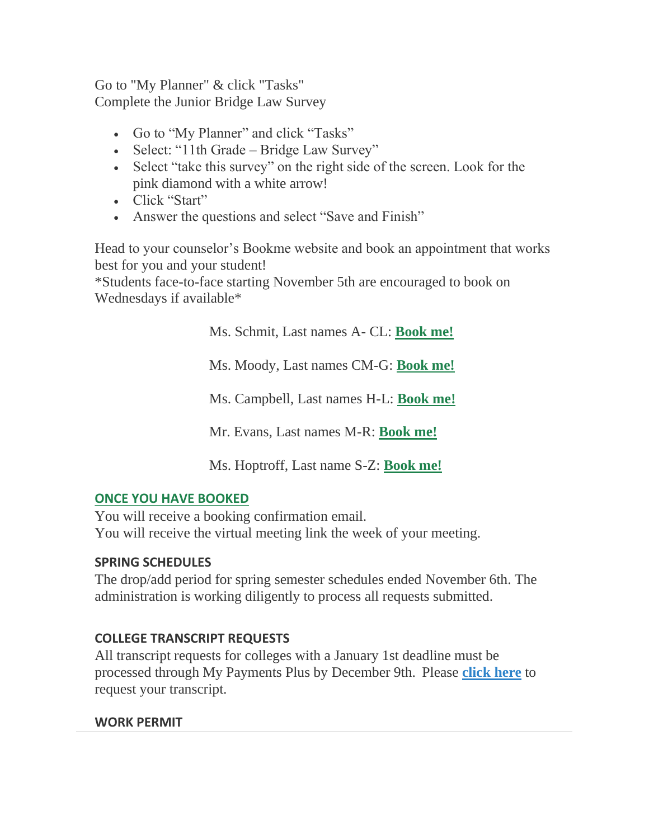Go to "My Planner" & click "Tasks" Complete the Junior Bridge Law Survey

- Go to "My Planner" and click "Tasks"
- Select: "11th Grade Bridge Law Survey"
- Select "take this survey" on the right side of the screen. Look for the pink diamond with a white arrow!
- Click "Start"
- Answer the questions and select "Save and Finish"

Head to your counselor's Bookme website and book an appointment that works best for you and your student!

\*Students face-to-face starting November 5th are encouraged to book on Wednesdays if available\*

Ms. Schmit, Last names A- CL: **[Book me!](https://schmitjunioradv2020-21.youcanbook.me/)**

Ms. Moody, Last names CM-G: **[Book me!](https://moodyjunioradv.youcanbook.me/)**

Ms. Campbell, Last names H-L: **[Book me!](https://campbelljunioradvisement.youcanbook.me/)**

Mr. Evans, Last names M-R: **[Book me!](https://evansjunioradv.youcanbook.me/)**

Ms. Hoptroff, Last name S-Z: **[Book me!](https://hoptroffjunioradv.youcanbook.me/)**

### **ONCE YOU HAVE BOOKED**

You will receive a booking confirmation email. You will receive the virtual meeting link the week of your meeting.

### **SPRING SCHEDULES**

The drop/add period for spring semester schedules ended November 6th. The administration is working diligently to process all requests submitted.

### **COLLEGE TRANSCRIPT REQUESTS**

All transcript requests for colleges with a January 1st deadline must be processed through My Payments Plus by December 9th. Please **[click here](https://drive.google.com/file/d/1CBoxn-cHkfPhb2hubwX6qcTUKFfayu9b/view)** to request your transcript.

### **WORK PERMIT**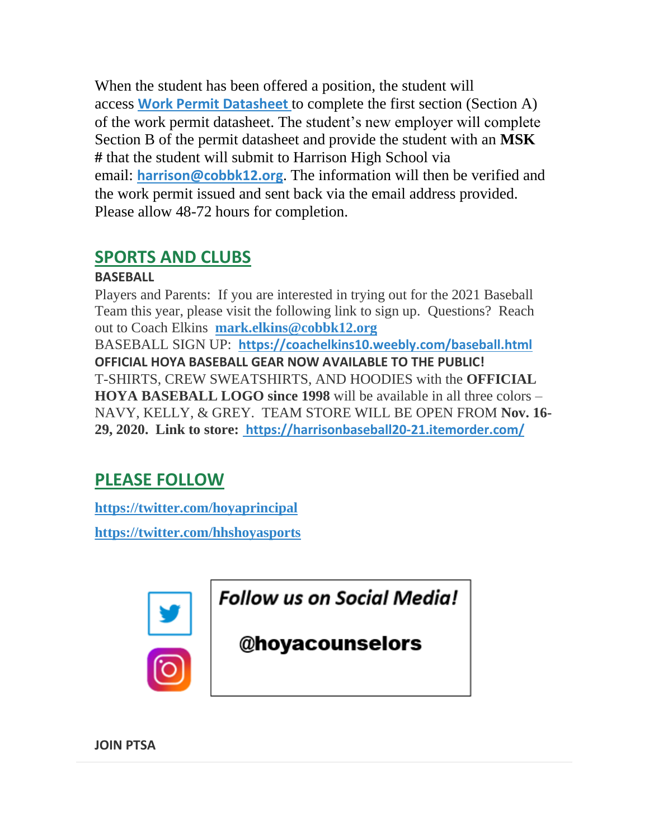When the student has been offered a position, the student will access **[Work Permit Datasheet](https://nam03.safelinks.protection.outlook.com/?url=https%3A%2F%2Fwww.dol.state.ga.us%2FWS4-MW5%2Fcics.jsp%3FTRANSID%3DWP17%26FRMNAME%3DWP17&data=02%7C01%7CAudra.Skalski%40cobbk12.org%7C856357e8e49d4d50041d08d80cb84415%7C2fce1dfb919f4938aab8c47f0fc9182d%7C0%7C1%7C637273332845584845&sdata=sYK4oD2g8pZe2iY4gQXjSHJq%2FGMstnRRcs7%2F3kUZoWc%3D&reserved=0)** to complete the first section (Section A) of the work permit datasheet. The student's new employer will complete Section B of the permit datasheet and provide the student with an **MSK #** that the student will submit to Harrison High School via email: **[harrison@cobbk12.org](mailto:harrison@cobbk12.org)**. The information will then be verified and the work permit issued and sent back via the email address provided. Please allow 48-72 hours for completion.

# **SPORTS AND CLUBS**

# **BASEBALL**

Players and Parents: If you are interested in trying out for the 2021 Baseball Team this year, please visit the following link to sign up. Questions? Reach out to Coach Elkins **[mark.elkins@cobbk12.org](mailto:mark.elkins@cobbk12.org)** BASEBALL SIGN UP: **<https://coachelkins10.weebly.com/baseball.html> OFFICIAL HOYA BASEBALL GEAR NOW AVAILABLE TO THE PUBLIC!** T-SHIRTS, CREW SWEATSHIRTS, AND HOODIES with the **OFFICIAL HOYA BASEBALL LOGO since 1998** will be available in all three colors – NAVY, KELLY, & GREY. TEAM STORE WILL BE OPEN FROM **Nov. 16- 29, 2020. Link to store: <https://harrisonbaseball20-21.itemorder.com/>**

# **PLEASE FOLLOW**

**[https://twitter.com/hoyaprincipal](https://na01.safelinks.protection.outlook.com/?url=https%3A%2F%2Ftwitter.com%2Fhoyaprincipal&data=02%7C01%7Cmandy.sitten%40cobbk12.org%7C963d2ade9b7e4a5d624d08d649a9ac7f%7C2fce1dfb919f4938aab8c47f0fc9182d%7C0%7C0%7C636777390434366372&sdata=pqvHroKGHDRsX2sSVItHZiZPnvoMBzzJnfhQ9qAyG4w%3D&reserved=0)**

**[https://twitter.com/hhshoyasports](https://na01.safelinks.protection.outlook.com/?url=https%3A%2F%2Ftwitter.com%2Fhhshoyasports&data=02%7C01%7Cmandy.sitten%40cobbk12.org%7C963d2ade9b7e4a5d624d08d649a9ac7f%7C2fce1dfb919f4938aab8c47f0fc9182d%7C0%7C0%7C636777390434366372&sdata=NJ98yAEdg104DEJsmD3HCrbOdR7rk4X9lX54%2Fkibsdk%3D&reserved=0)**



# **Follow us on Social Media!**

@hoyacounselors

**JOIN PTSA**